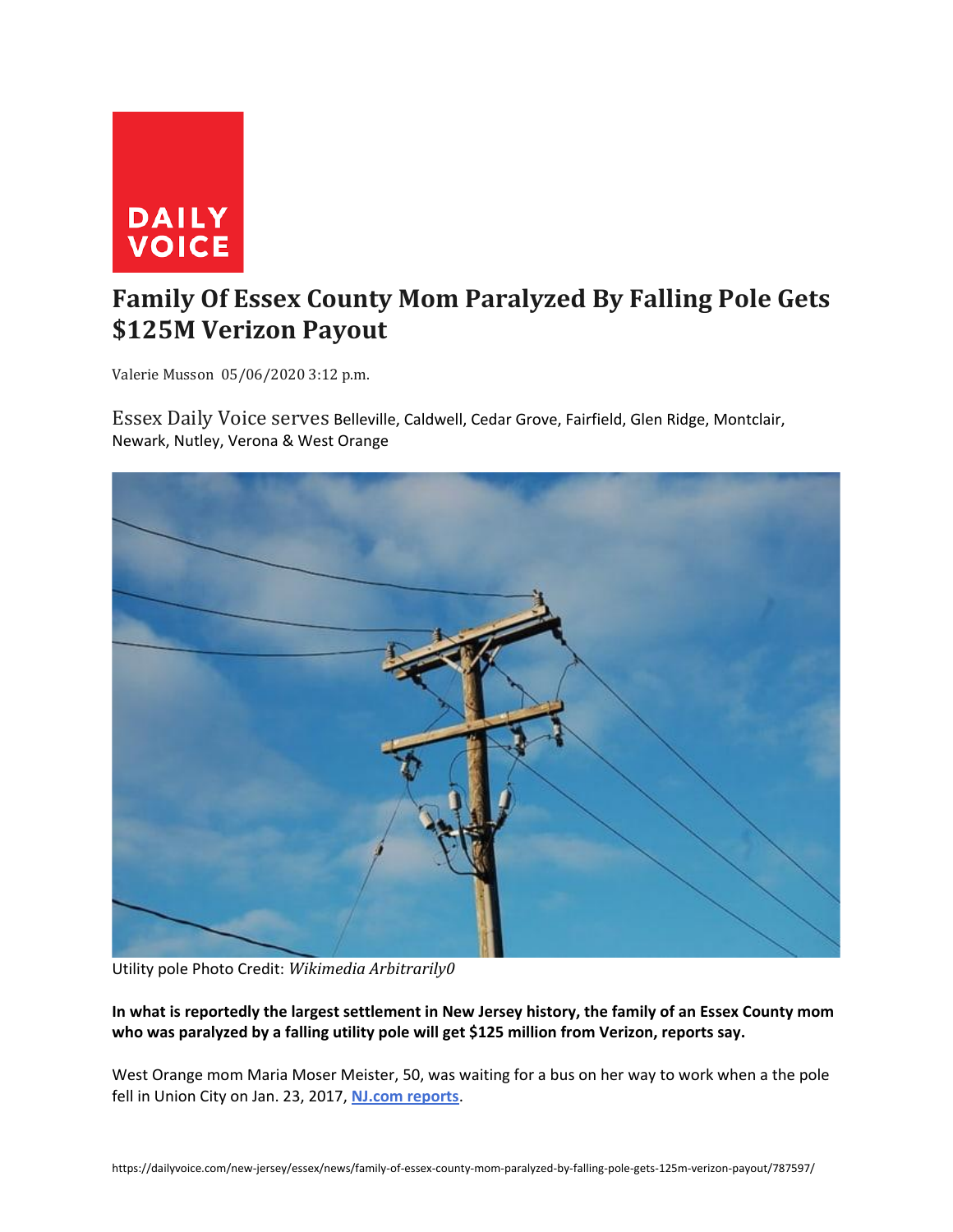

## **Family Of Essex County Mom Paralyzed By Falling Pole Gets \$125M Verizon Payout**

Valerie Musson 05/06/2020 3:12 p.m.

Essex Daily Voice serves Belleville, Caldwell, Cedar Grove, Fairfield, Glen Ridge, Montclair, Newark, Nutley, Verona & West Orange



Utility pole Photo Credit: *Wikimedia Arbitrarily0*

**In what is reportedly the largest settlement in New Jersey history, the family of an Essex County mom who was paralyzed by a falling utility pole will get \$125 million from Verizon, reports say.**

West Orange mom Maria Moser Meister, 50, was waiting for a bus on her way to work when a the pole fell in Union City on Jan. 23, 2017, **[NJ.com reports](https://www.nj.com/essex/2020/05/verizon-will-pay-125m-to-family-of-mom-paralyzed-when-rotted-pole-fell-on-her.html)**.